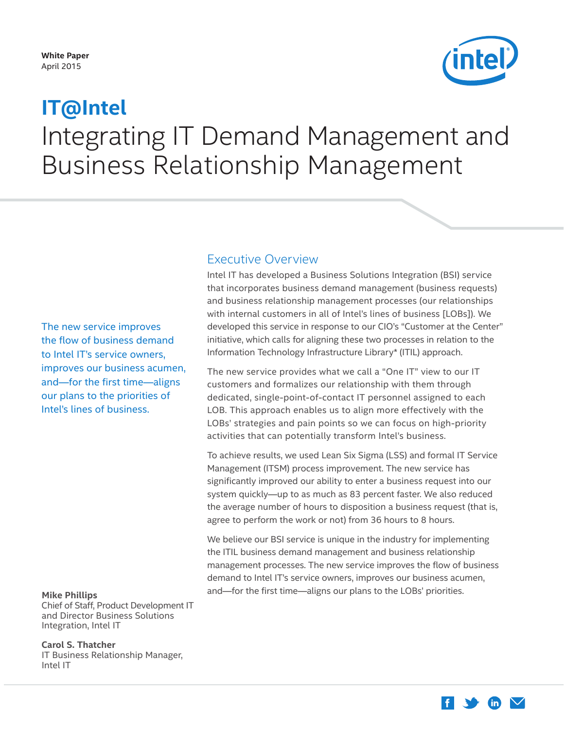#### <span id="page-0-0"></span>**White Paper** April 2015



# Integrating IT Demand Management and Business Relationship Management **IT@Intel**

## Executive Overview

and business relationship management processes (our relationships with internal customers in all of Intel's lines of business [LOBs]). We developed this service in response to our CIO's "Customer at the Center" initiative, which calls for aligning these two processes in relation to the Information Technology Infrastructure Library\* (ITIL) approach. The new service improves

The new service provides what we call a "One IT" view to our IT customers and formalizes our relationship with them through dedicated, single-point-of-contact IT personnel assigned to each LOB. This approach enables us to align more effectively with the LOBs' strategies and pain points so we can focus on high-priority activities that can potentially transform Intel's business.

Intel IT has developed a Business Solutions Integration (BSI) service that incorporates business demand management (business requests)

To achieve results, we used Lean Six Sigma (LSS) and formal IT Service Management (ITSM) process improvement. The new service has significantly improved our ability to enter a business request into our system quickly—up to as much as 83 percent faster. We also reduced the average number of hours to disposition a business request (that is, agree to perform the work or not) from 36 hours to 8 hours.

We believe our BSI service is unique in the industry for implementing the ITIL business demand management and business relationship management processes. The new service improves the flow of business demand to Intel IT's service owners, improves our business acumen, and—for the first time—aligns our plans to the LOBs' priorities.

the flow of business demand to Intel IT's service owners, improves our business acumen, and—for the first time—aligns our plans to the priorities of Intel's lines of business.

#### **Mike Phillips**

Chief of Staff, Product Development IT and Director Business Solutions Integration, Intel IT

**Carol S. Thatcher** IT Business Relationship Manager, Intel IT

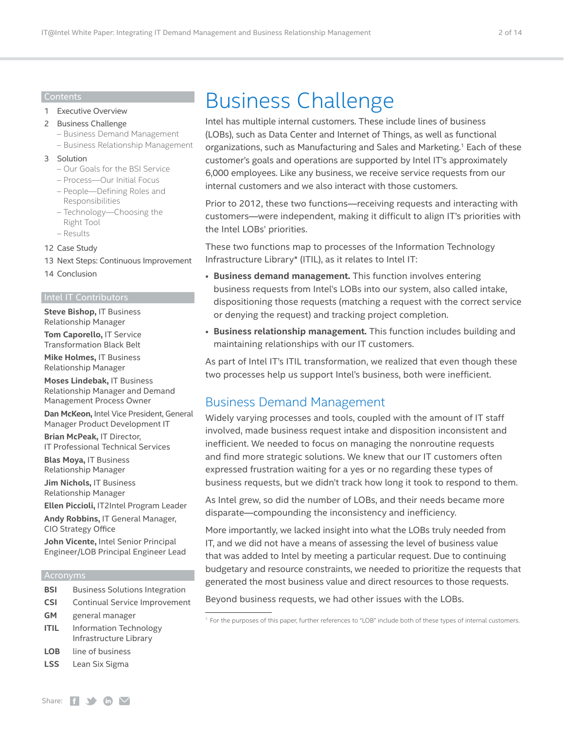#### Contents

#### 1 [Executive Overview](#page-0-0)

- 2 Business Challenge
	- Business Demand Management
	- [Business Relationship Management](#page-2-0)

#### 3 [Solution](#page-2-0)

- [Our Goals for the BSI Service](#page-3-0)
- [Process—Our Initial Focus](#page-4-0)
- [People—Defining Roles and](#page-7-0)  [Responsibilities](#page-7-0)
- [Technology—Choosing the](#page-9-0)  [Right Tool](#page-9-0)
- [Results](#page-10-0)

#### 12 [Case Study](#page-11-0)

- 13 [Next Steps: Continuous](#page-12-0) Improvement
- 14 [Conclusion](#page-13-0)

#### Intel IT Contributors

**Steve Bishop,** IT Business Relationship Manager

**Tom Caporello,** IT Service Transformation Black Belt

**Mike Holmes,** IT Business Relationship Manager

**Moses Lindebak,** IT Business Relationship Manager and Demand Management Process Owner

**Dan McKeon,** Intel Vice President, General Manager Product Development IT

**Brian McPeak,** IT Director, IT Professional Technical Services

**Blas Moya,** IT Business Relationship Manager

**Jim Nichols,** IT Business Relationship Manager

**Ellen Piccioli,** IT2Intel Program Leader

**Andy Robbins,** IT General Manager, CIO Strategy Office

**John Vicente,** Intel Senior Principal Engineer/LOB Principal Engineer Lead

#### Acronyms

- **BSI** Business Solutions Integration
- **CSI** Continual Service Improvement
- **GM** general manager
- **ITIL** Information Technology Infrastructure Library
- **LOB** line of business
- **LSS** Lean Six Sigma

# Business Challenge

Intel has multiple internal customers. These include lines of business (LOBs), such as Data Center and Internet of Things, as well as functional organizations, such as Manufacturing and Sales and Marketing.<sup>1</sup> Each of these customer's goals and operations are supported by Intel IT's approximately 6,000 employees. Like any business, we receive service requests from our internal customers and we also interact with those customers.

Prior to 2012, these two functions—receiving requests and interacting with customers—were independent, making it difficult to align IT's priorities with the Intel LOBs' priorities.

These two functions map to processes of the Information Technology Infrastructure Library\* (ITIL), as it relates to Intel IT:

- **Business demand management.** This function involves entering business requests from Intel's LOBs into our system, also called intake, dispositioning those requests (matching a request with the correct service or denying the request) and tracking project completion.
- **Business relationship management.** This function includes building and maintaining relationships with our IT customers.

As part of Intel IT's ITIL transformation, we realized that even though these two processes help us support Intel's business, both were inefficient.

## Business Demand Management

Widely varying processes and tools, coupled with the amount of IT staff involved, made business request intake and disposition inconsistent and inefficient. We needed to focus on managing the nonroutine requests and find more strategic solutions. We knew that our IT customers often expressed frustration waiting for a yes or no regarding these types of business requests, but we didn't track how long it took to respond to them.

As Intel grew, so did the number of LOBs, and their needs became more disparate—compounding the inconsistency and inefficiency.

More importantly, we lacked insight into what the LOBs truly needed from IT, and we did not have a means of assessing the level of business value that was added to Intel by meeting a particular request. Due to continuing budgetary and resource constraints, we needed to prioritize the requests that generated the most business value and direct resources to those requests.

Beyond business requests, we had other issues with the LOBs.

<sup>1</sup> For the purposes of this paper, further references to "LOB" include both of these types of internal customers.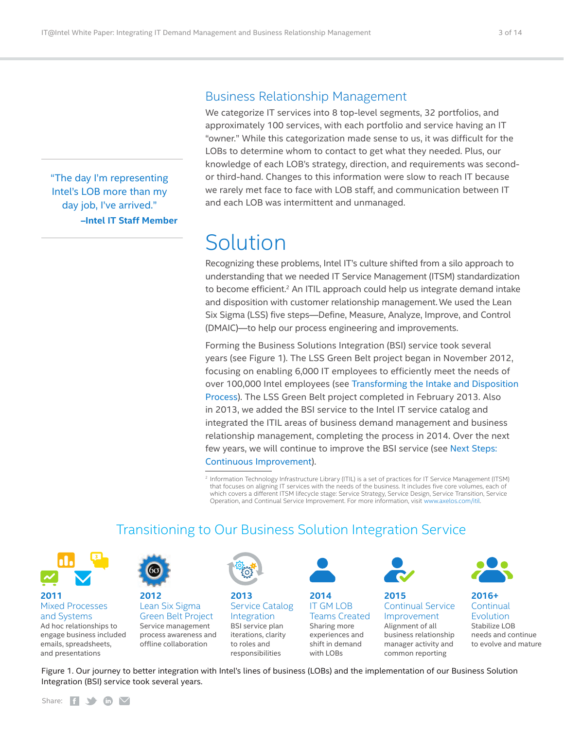<span id="page-2-0"></span>"The day I'm representing Intel's LOB more than my day job, I've arrived." **–Intel IT Staff Member**

## Business Relationship Management

We categorize IT services into 8 top-level segments, 32 portfolios, and approximately 100 services, with each portfolio and service having an IT "owner." While this categorization made sense to us, it was difficult for the LOBs to determine whom to contact to get what they needed. Plus, our knowledge of each LOB's strategy, direction, and requirements was secondor third-hand. Changes to this information were slow to reach IT because we rarely met face to face with LOB staff, and communication between IT and each LOB was intermittent and unmanaged.

# Solution

Recognizing these problems, Intel IT's culture shifted from a silo approach to understanding that we needed IT Service Management (ITSM) standardization to become efficient.<sup>2</sup> An ITIL approach could help us integrate demand intake and disposition with customer relationship management.We used the Lean Six Sigma (LSS) five steps—Define, Measure, Analyze, Improve, and Control (DMAIC)—to help our process engineering and improvements.

Forming the Business Solutions Integration (BSI) service took several years (see Figure 1). The LSS Green Belt project began in November 2012, focusing on enabling 6,000 IT employees to efficiently meet the needs of over 100,000 Intel employees (see [Transforming the Intake and Disposition](#page-5-0)  [Process](#page-5-0)). The LSS Green Belt project completed in February 2013. Also in 2013, we added the BSI service to the Intel IT service catalog and integrated the ITIL areas of business demand management and business relationship management, completing the process in 2014. Over the next few years, we will continue to improve the BSI service (see [Next Steps:](#page-12-1)  Continuous [Improvement](#page-12-1)).

<sup>2</sup> Information Technology Infrastructure Library (ITIL) is a set of practices for IT Service Management (ITSM) that focuses on aligning IT services with the needs of the business. It includes five core volumes, each of which covers a different ITSM lifecycle stage: Service Strategy, Service Design, Service Transition, Service Operation, and Continual Service Improvement. For more information, visit [www.axelos.com/itil](https://www.axelos.com/itil).



# **2011**

Ad hoc relationships to Mixed Processes and Systems

engage business included emails, spreadsheets, and presentations



**2012** Service management process awareness and offline collaboration Lean Six Sigma Green Belt Project



**2013** BSI service plan iterations, clarity to roles and responsibilities Service Catalog **Integration** 



**2014** Sharing more experiences and shift in demand with LOBs IT GM LOB Teams Created



**2015** Alignment of all business relationship manager activity and common reporting Continual Service Improvement



#### **2016+** Stabilize LOB needs and continue to evolve and mature **Continual** Evolution

Figure 1. Our journey to better integration with Intel's lines of business (LOBs) and the implementation of our Business Solution Integration (BSI) service took several years.

Transitioning to Our Business Solution Integration Service

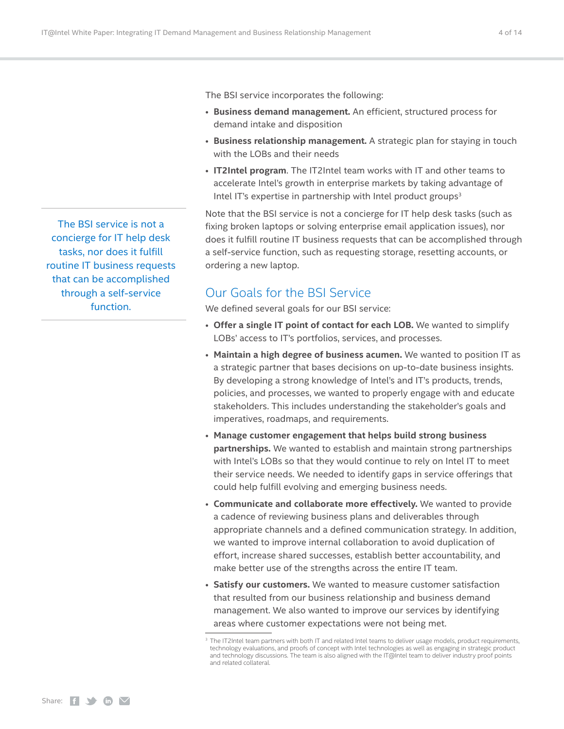The BSI service incorporates the following:

- **Business demand management.** An efficient, structured process for demand intake and disposition
- **Business relationship management.** A strategic plan for staying in touch with the LOBs and their needs
- **IT2Intel program**. The IT2Intel team works with IT and other teams to accelerate Intel's growth in enterprise markets by taking advantage of Intel IT's expertise in partnership with Intel product groups $3$

Note that the BSI service is not a concierge for IT help desk tasks (such as fixing broken laptops or solving enterprise email application issues), nor does it fulfill routine IT business requests that can be accomplished through a self-service function, such as requesting storage, resetting accounts, or ordering a new laptop.

# Our Goals for the BSI Service

We defined several goals for our BSI service:

- **Offer a single IT point of contact for each LOB.** We wanted to simplify LOBs' access to IT's portfolios, services, and processes.
- **Maintain a high degree of business acumen.** We wanted to position IT as a strategic partner that bases decisions on up-to-date business insights. By developing a strong knowledge of Intel's and IT's products, trends, policies, and processes, we wanted to properly engage with and educate stakeholders. This includes understanding the stakeholder's goals and imperatives, roadmaps, and requirements.
- **Manage customer engagement that helps build strong business partnerships.** We wanted to establish and maintain strong partnerships with Intel's LOBs so that they would continue to rely on Intel IT to meet their service needs. We needed to identify gaps in service offerings that could help fulfill evolving and emerging business needs.
- **Communicate and collaborate more effectively.** We wanted to provide a cadence of reviewing business plans and deliverables through appropriate channels and a defined communication strategy. In addition, we wanted to improve internal collaboration to avoid duplication of effort, increase shared successes, establish better accountability, and make better use of the strengths across the entire IT team.
- **Satisfy our customers.** We wanted to measure customer satisfaction that resulted from our business relationship and business demand management. We also wanted to improve our services by identifying areas where customer expectations were not being met.

<span id="page-3-0"></span>The BSI service is not a concierge for IT help desk tasks, nor does it fulfill routine IT business requests that can be accomplished through a self-service function.

<sup>&</sup>lt;sup>3</sup> The IT2Intel team partners with both IT and related Intel teams to deliver usage models, product requirements, technology evaluations, and proofs of concept with Intel technologies as well as engaging in strategic product and technology discussions. The team is also aligned with the IT@Intel team to deliver industry proof points and related collateral.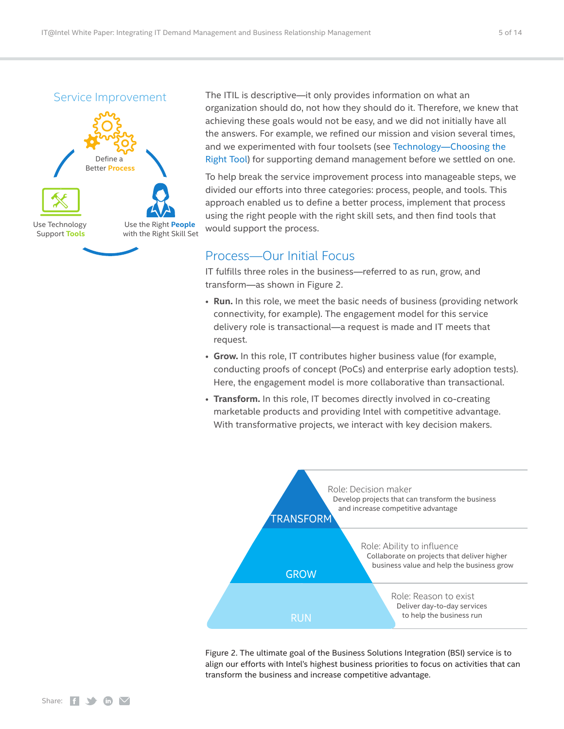<span id="page-4-0"></span>Service Improvement



The ITIL is descriptive—it only provides information on what an organization should do, not how they should do it. Therefore, we knew that achieving these goals would not be easy, and we did not initially have all the answers. For example, we refined our mission and vision several times, and we experimented with four toolsets (see [Technology—Choosing the](#page-9-1)  [Right Tool\)](#page-9-1) for supporting demand management before we settled on one.

To help break the service improvement process into manageable steps, we divided our efforts into three categories: process, people, and tools. This approach enabled us to define a better process, implement that process using the right people with the right skill sets, and then find tools that would support the process.

## Process—Our Initial Focus

IT fulfills three roles in the business—referred to as run, grow, and transform—as shown in Figure 2.

- **Run.** In this role, we meet the basic needs of business (providing network connectivity, for example). The engagement model for this service delivery role is transactional—a request is made and IT meets that request.
- **Grow.** In this role, IT contributes higher business value (for example, conducting proofs of concept (PoCs) and enterprise early adoption tests). Here, the engagement model is more collaborative than transactional.
- **Transform.** In this role, IT becomes directly involved in co-creating marketable products and providing Intel with competitive advantage. With transformative projects, we interact with key decision makers.



Figure 2. The ultimate goal of the Business Solutions Integration (BSI) service is to align our efforts with Intel's highest business priorities to focus on activities that can transform the business and increase competitive advantage.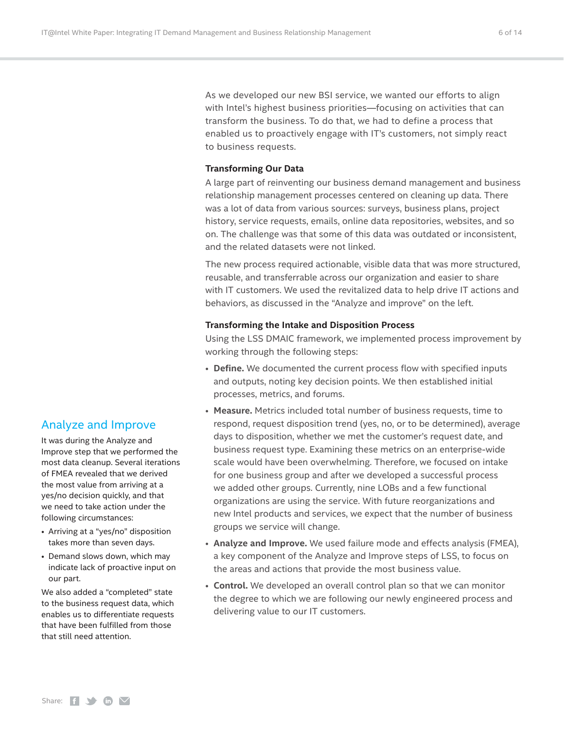As we developed our new BSI service, we wanted our efforts to align with Intel's highest business priorities—focusing on activities that can transform the business. To do that, we had to define a process that enabled us to proactively engage with IT's customers, not simply react to business requests.

#### **Transforming Our Data**

A large part of reinventing our business demand management and business relationship management processes centered on cleaning up data. There was a lot of data from various sources: surveys, business plans, project history, service requests, emails, online data repositories, websites, and so on. The challenge was that some of this data was outdated or inconsistent, and the related datasets were not linked.

The new process required actionable, visible data that was more structured, reusable, and transferrable across our organization and easier to share with IT customers. We used the revitalized data to help drive IT actions and behaviors, as discussed in the "Analyze and improve" on the left.

#### <span id="page-5-0"></span>**Transforming the Intake and Disposition Process**

Using the LSS DMAIC framework, we implemented process improvement by working through the following steps:

- **Define.** We documented the current process flow with specified inputs and outputs, noting key decision points. We then established initial processes, metrics, and forums.
- **Measure.** Metrics included total number of business requests, time to respond, request disposition trend (yes, no, or to be determined), average days to disposition, whether we met the customer's request date, and business request type. Examining these metrics on an enterprise-wide scale would have been overwhelming. Therefore, we focused on intake for one business group and after we developed a successful process we added other groups. Currently, nine LOBs and a few functional organizations are using the service. With future reorganizations and new Intel products and services, we expect that the number of business groups we service will change.
- **Analyze and Improve.** We used failure mode and effects analysis (FMEA), a key component of the Analyze and Improve steps of LSS, to focus on the areas and actions that provide the most business value.
- **Control.** We developed an overall control plan so that we can monitor the degree to which we are following our newly engineered process and delivering value to our IT customers.

#### Analyze and Improve

It was during the Analyze and Improve step that we performed the most data cleanup. Several iterations of FMEA revealed that we derived the most value from arriving at a yes/no decision quickly, and that we need to take action under the following circumstances:

- Arriving at a "yes/no" disposition takes more than seven days.
- Demand slows down, which may indicate lack of proactive input on our part.

We also added a "completed" state to the business request data, which enables us to differentiate requests that have been fulfilled from those that still need attention.

Share:  $f \rightarrow \mathbf{in}$   $\mathbf{\nabla}$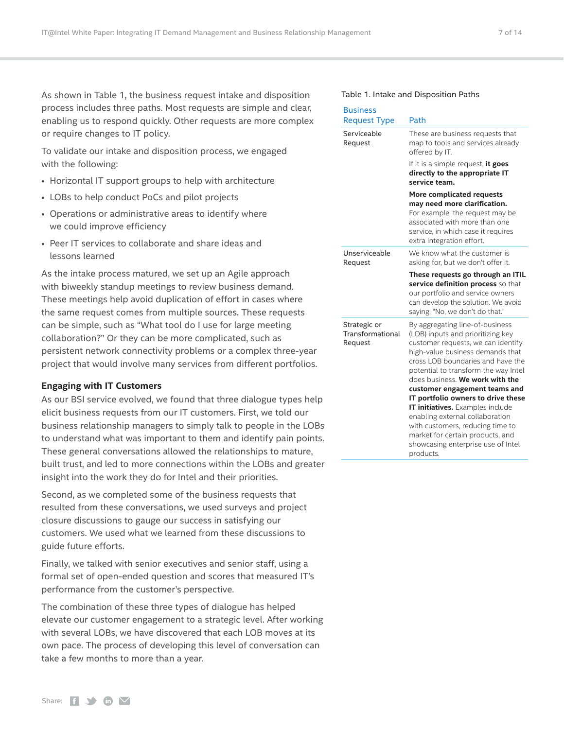As shown in Table 1, the business request intake and disposition process includes three paths. Most requests are simple and clear, enabling us to respond quickly. Other requests are more complex or require changes to IT policy.

To validate our intake and disposition process, we engaged with the following:

- Horizontal IT support groups to help with architecture
- LOBs to help conduct PoCs and pilot projects
- Operations or administrative areas to identify where we could improve efficiency
- Peer IT services to collaborate and share ideas and lessons learned

As the intake process matured, we set up an Agile approach with biweekly standup meetings to review business demand. These meetings help avoid duplication of effort in cases where the same request comes from multiple sources. These requests can be simple, such as "What tool do I use for large meeting collaboration?" Or they can be more complicated, such as persistent network connectivity problems or a complex three-year project that would involve many services from different portfolios.

#### **Engaging with IT Customers**

As our BSI service evolved, we found that three dialogue types help elicit business requests from our IT customers. First, we told our business relationship managers to simply talk to people in the LOBs to understand what was important to them and identify pain points. These general conversations allowed the relationships to mature, built trust, and led to more connections within the LOBs and greater insight into the work they do for Intel and their priorities.

Second, as we completed some of the business requests that resulted from these conversations, we used surveys and project closure discussions to gauge our success in satisfying our customers. We used what we learned from these discussions to guide future efforts.

Finally, we talked with senior executives and senior staff, using a formal set of open-ended question and scores that measured IT's performance from the customer's perspective.

The combination of these three types of dialogue has helped elevate our customer engagement to a strategic level. After working with several LOBs, we have discovered that each LOB moves at its own pace. The process of developing this level of conversation can take a few months to more than a year.

#### Table 1. Intake and Disposition Paths

| <b>Business</b><br><b>Request Type</b>      | Path                                                                                                                                                                                                                                                                                                                                                                                                                                                                                                                                    |
|---------------------------------------------|-----------------------------------------------------------------------------------------------------------------------------------------------------------------------------------------------------------------------------------------------------------------------------------------------------------------------------------------------------------------------------------------------------------------------------------------------------------------------------------------------------------------------------------------|
| Serviceable<br>Request                      | These are business requests that<br>map to tools and services already<br>offered by IT.                                                                                                                                                                                                                                                                                                                                                                                                                                                 |
|                                             | If it is a simple request, it goes<br>directly to the appropriate IT<br>service team.                                                                                                                                                                                                                                                                                                                                                                                                                                                   |
|                                             | More complicated requests<br>may need more clarification.<br>For example, the request may be<br>associated with more than one<br>service, in which case it requires<br>extra integration effort.                                                                                                                                                                                                                                                                                                                                        |
| Unserviceable<br>Request                    | We know what the customer is<br>asking for, but we don't offer it.                                                                                                                                                                                                                                                                                                                                                                                                                                                                      |
|                                             | These requests go through an ITIL<br>service definition process so that<br>our portfolio and service owners<br>can develop the solution. We avoid<br>saying, "No, we don't do that."                                                                                                                                                                                                                                                                                                                                                    |
| Strategic or<br>Transformational<br>Request | By aggregating line-of-business<br>(LOB) inputs and prioritizing key<br>customer requests, we can identify<br>high-value business demands that<br>cross LOB boundaries and have the<br>potential to transform the way Intel<br>does business. We work with the<br>customer engagement teams and<br>IT portfolio owners to drive these<br>IT initiatives. Examples include<br>enabling external collaboration<br>with customers, reducing time to<br>market for certain products, and<br>showcasing enterprise use of Intel<br>products. |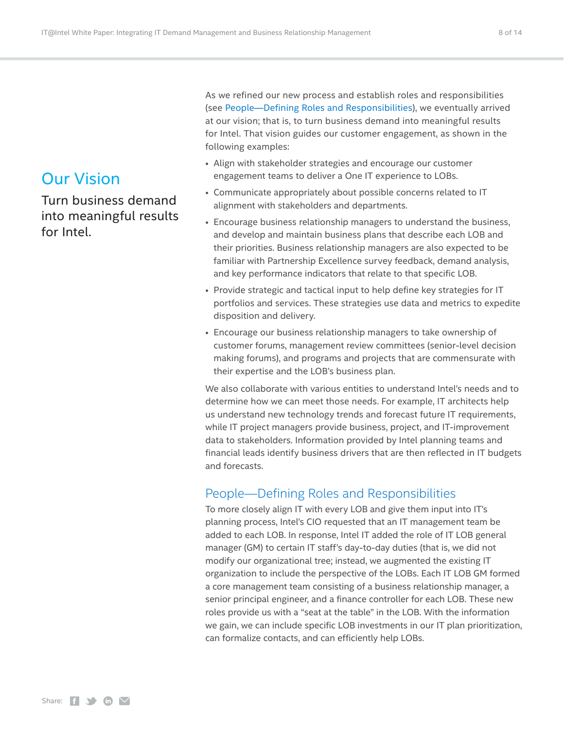# <span id="page-7-0"></span>Our Vision

Turn business demand into meaningful results for Intel.

As we refined our new process and establish roles and responsibilities (see [People—Defining Roles and Responsibilities\)](#page-7-1), we eventually arrived at our vision; that is, to turn business demand into meaningful results for Intel. That vision guides our customer engagement, as shown in the following examples:

- Align with stakeholder strategies and encourage our customer engagement teams to deliver a One IT experience to LOBs.
- Communicate appropriately about possible concerns related to IT alignment with stakeholders and departments.
- Encourage business relationship managers to understand the business, and develop and maintain business plans that describe each LOB and their priorities. Business relationship managers are also expected to be familiar with Partnership Excellence survey feedback, demand analysis, and key performance indicators that relate to that specific LOB.
- Provide strategic and tactical input to help define key strategies for IT portfolios and services. These strategies use data and metrics to expedite disposition and delivery.
- Encourage our business relationship managers to take ownership of customer forums, management review committees (senior-level decision making forums), and programs and projects that are commensurate with their expertise and the LOB's business plan.

We also collaborate with various entities to understand Intel's needs and to determine how we can meet those needs. For example, IT architects help us understand new technology trends and forecast future IT requirements, while IT project managers provide business, project, and IT-improvement data to stakeholders. Information provided by Intel planning teams and financial leads identify business drivers that are then reflected in IT budgets and forecasts.

# <span id="page-7-1"></span>People—Defining Roles and Responsibilities

To more closely align IT with every LOB and give them input into IT's planning process, Intel's CIO requested that an IT management team be added to each LOB. In response, Intel IT added the role of IT LOB general manager (GM) to certain IT staff's day-to-day duties (that is, we did not modify our organizational tree; instead, we augmented the existing IT organization to include the perspective of the LOBs. Each IT LOB GM formed a core management team consisting of a business relationship manager, a senior principal engineer, and a finance controller for each LOB. These new roles provide us with a "seat at the table" in the LOB. With the information we gain, we can include specific LOB investments in our IT plan prioritization, can formalize contacts, and can efficiently help LOBs.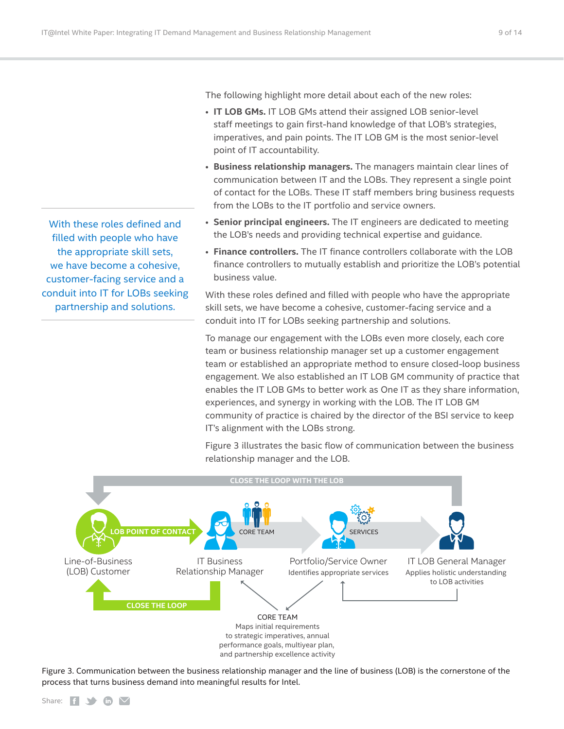The following highlight more detail about each of the new roles:

- **IT LOB GMs.** IT LOB GMs attend their assigned LOB senior-level staff meetings to gain first-hand knowledge of that LOB's strategies, imperatives, and pain points. The IT LOB GM is the most senior-level point of IT accountability.
- **Business relationship managers.** The managers maintain clear lines of communication between IT and the LOBs. They represent a single point of contact for the LOBs. These IT staff members bring business requests from the LOBs to the IT portfolio and service owners.
- **Senior principal engineers.** The IT engineers are dedicated to meeting the LOB's needs and providing technical expertise and guidance.
- **Finance controllers.** The IT finance controllers collaborate with the LOB finance controllers to mutually establish and prioritize the LOB's potential business value.

With these roles defined and filled with people who have the appropriate skill sets, we have become a cohesive, customer-facing service and a conduit into IT for LOBs seeking partnership and solutions.

To manage our engagement with the LOBs even more closely, each core team or business relationship manager set up a customer engagement team or established an appropriate method to ensure closed-loop business engagement. We also established an IT LOB GM community of practice that enables the IT LOB GMs to better work as One IT as they share information, experiences, and synergy in working with the LOB. The IT LOB GM community of practice is chaired by the director of the BSI service to keep IT's alignment with the LOBs strong.

Figure 3 illustrates the basic flow of communication between the business relationship manager and the LOB.



Figure 3. Communication between the business relationship manager and the line of business (LOB) is the cornerstone of the process that turns business demand into meaningful results for Intel.

With these roles defined and filled with people who have the appropriate skill sets, we have become a cohesive, customer-facing service and a conduit into IT for LOBs seeking partnership and solutions.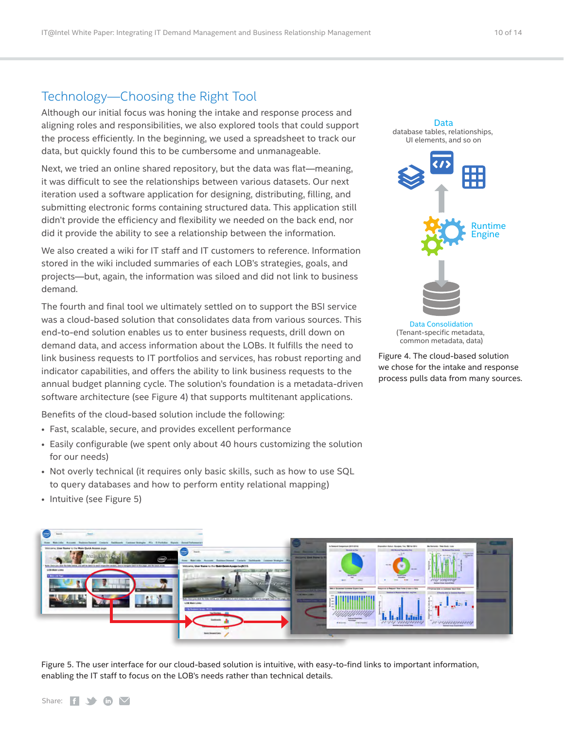# <span id="page-9-1"></span><span id="page-9-0"></span>Technology—Choosing the Right Tool

Although our initial focus was honing the intake and response process and aligning roles and responsibilities, we also explored tools that could support the process efficiently. In the beginning, we used a spreadsheet to track our data, but quickly found this to be cumbersome and unmanageable.

Next, we tried an online shared repository, but the data was flat—meaning, it was difficult to see the relationships between various datasets. Our next iteration used a software application for designing, distributing, filling, and submitting electronic forms containing structured data. This application still didn't provide the efficiency and flexibility we needed on the back end, nor did it provide the ability to see a relationship between the information.

We also created a wiki for IT staff and IT customers to reference. Information stored in the wiki included summaries of each LOB's strategies, goals, and projects—but, again, the information was siloed and did not link to business demand.

The fourth and final tool we ultimately settled on to support the BSI service was a cloud-based solution that consolidates data from various sources. This end-to-end solution enables us to enter business requests, drill down on demand data, and access information about the LOBs. It fulfills the need to link business requests to IT portfolios and services, has robust reporting and indicator capabilities, and offers the ability to link business requests to the annual budget planning cycle. The solution's foundation is a metadata-driven software architecture (see Figure 4) that supports multitenant applications.

Benefits of the cloud-based solution include the following:

- Fast, scalable, secure, and provides excellent performance
- Easily configurable (we spent only about 40 hours customizing the solution for our needs)
- Not overly technical (it requires only basic skills, such as how to use SQL to query databases and how to perform entity relational mapping)



Data Consolidation (Tenant-specific metadata, common metadata, data)

Figure 4. The cloud-based solution we chose for the intake and response process pulls data from many sources.



Figure 5. The user interface for our cloud-based solution is intuitive, with easy-to-find links to important information, enabling the IT staff to focus on the LOB's needs rather than technical details.

• Intuitive (see Figure 5)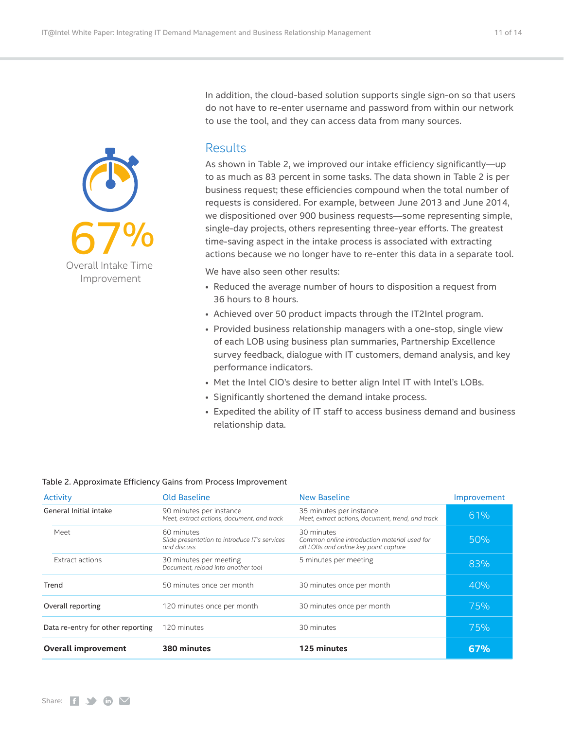

<span id="page-10-0"></span>

In addition, the cloud-based solution supports single sign-on so that users do not have to re-enter username and password from within our network to use the tool, and they can access data from many sources.

## **Results**

As shown in Table 2, we improved our intake efficiency significantly—up to as much as 83 percent in some tasks. The data shown in Table 2 is per business request; these efficiencies compound when the total number of requests is considered. For example, between June 2013 and June 2014, we dispositioned over 900 business requests—some representing simple, single-day projects, others representing three-year efforts. The greatest time-saving aspect in the intake process is associated with extracting actions because we no longer have to re-enter this data in a separate tool.

We have also seen other results:

- Reduced the average number of hours to disposition a request from 36 hours to 8 hours.
- Achieved over 50 product impacts through the IT2Intel program.
- Provided business relationship managers with a one-stop, single view of each LOB using business plan summaries, Partnership Excellence survey feedback, dialogue with IT customers, demand analysis, and key performance indicators.
- Met the Intel CIO's desire to better align Intel IT with Intel's LOBs.
- Significantly shortened the demand intake process.
- Expedited the ability of IT staff to access business demand and business relationship data.

#### Table 2. Approximate Efficiency Gains from Process Improvement

| <b>Activity</b>                   | <b>Old Baseline</b>                                                        | <b>New Baseline</b>                                                                                 | Improvement |
|-----------------------------------|----------------------------------------------------------------------------|-----------------------------------------------------------------------------------------------------|-------------|
| General Initial intake            | 90 minutes per instance<br>Meet, extract actions, document, and track      | 35 minutes per instance<br>Meet, extract actions, document, trend, and track                        | 61%         |
| Meet                              | 60 minutes<br>Slide presentation to introduce IT's services<br>and discuss | 30 minutes<br>Common online introduction material used for<br>all LOBs and online key point capture | 50%         |
| Extract actions                   | 30 minutes per meeting<br>Document, reload into another tool               | 5 minutes per meeting                                                                               | 83%         |
| Trend                             | 50 minutes once per month                                                  | 30 minutes once per month                                                                           | 40%         |
| Overall reporting                 | 120 minutes once per month                                                 | 30 minutes once per month                                                                           | 75%         |
| Data re-entry for other reporting | 120 minutes                                                                | 30 minutes                                                                                          | 75%         |
| <b>Overall improvement</b>        | 380 minutes                                                                | 125 minutes                                                                                         | 67%         |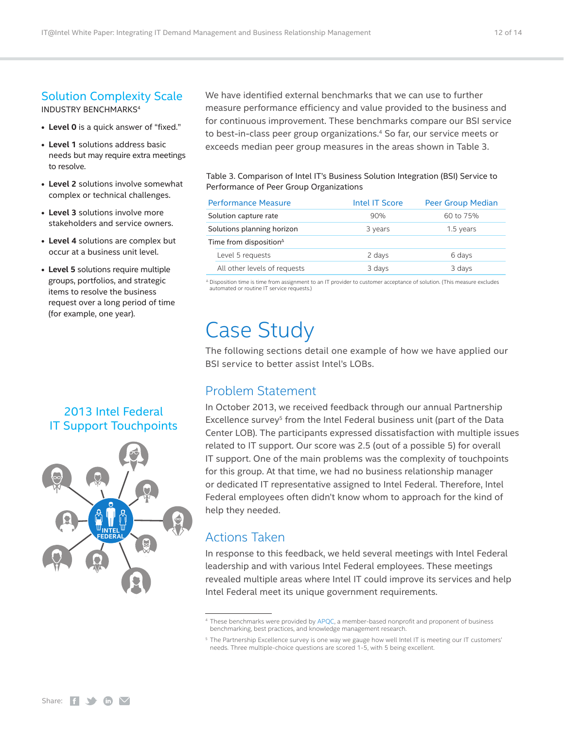# <span id="page-11-0"></span>Solution Complexity Scale

INDUSTRY BENCHMARKS4

- **• Level 0** is a quick answer of "fixed."
- **Level 1** solutions address basic needs but may require extra meetings to resolve.
- **Level 2** solutions involve somewhat complex or technical challenges.
- **Level 3** solutions involve more stakeholders and service owners.
- **Level 4** solutions are complex but occur at a business unit level.
- **Level 5** solutions require multiple groups, portfolios, and strategic items to resolve the business request over a long period of time (for example, one year).

# 2013 Intel Federal IT Support Touchpoints



We have identified external benchmarks that we can use to further measure performance efficiency and value provided to the business and for continuous improvement. These benchmarks compare our BSI service to best-in-class peer group organizations.4 So far, our service meets or exceeds median peer group measures in the areas shown in Table 3.

Table 3. Comparison of Intel IT's Business Solution Integration (BSI) Service to Performance of Peer Group Organizations

|                            | <b>Performance Measure</b>         | Intel IT Score | <b>Peer Group Median</b> |
|----------------------------|------------------------------------|----------------|--------------------------|
|                            | Solution capture rate              | 90%            | 60 to 75%                |
| Solutions planning horizon |                                    | 3 years        | 1.5 years                |
|                            | Time from disposition <sup>4</sup> |                |                          |
|                            | Level 5 requests                   | 2 days         | 6 days                   |
|                            | All other levels of requests       | 3 days         | 3 days                   |

<sup>∆</sup> Disposition time is time from assignment to an IT provider to customer acceptance of solution. (This measure excludes automated or routine IT service requests.)

# Case Study

The following sections detail one example of how we have applied our BSI service to better assist Intel's LOBs.

## Problem Statement

In October 2013, we received feedback through our annual Partnership Excellence survey<sup>5</sup> from the Intel Federal business unit (part of the Data Center LOB). The participants expressed dissatisfaction with multiple issues related to IT support. Our score was 2.5 (out of a possible 5) for overall IT support. One of the main problems was the complexity of touchpoints for this group. At that time, we had no business relationship manager or dedicated IT representative assigned to Intel Federal. Therefore, Intel Federal employees often didn't know whom to approach for the kind of help they needed.

# Actions Taken

In response to this feedback, we held several meetings with Intel Federal leadership and with various Intel Federal employees. These meetings revealed multiple areas where Intel IT could improve its services and help Intel Federal meet its unique government requirements.

<sup>4</sup> These benchmarks were provided by [APQC](http://www.apqc.org), a member-based nonprofit and proponent of business benchmarking, best practices, and knowledge management research.

<sup>5</sup> The Partnership Excellence survey is one way we gauge how well Intel IT is meeting our IT customers' needs. Three multiple-choice questions are scored 1-5, with 5 being excellent.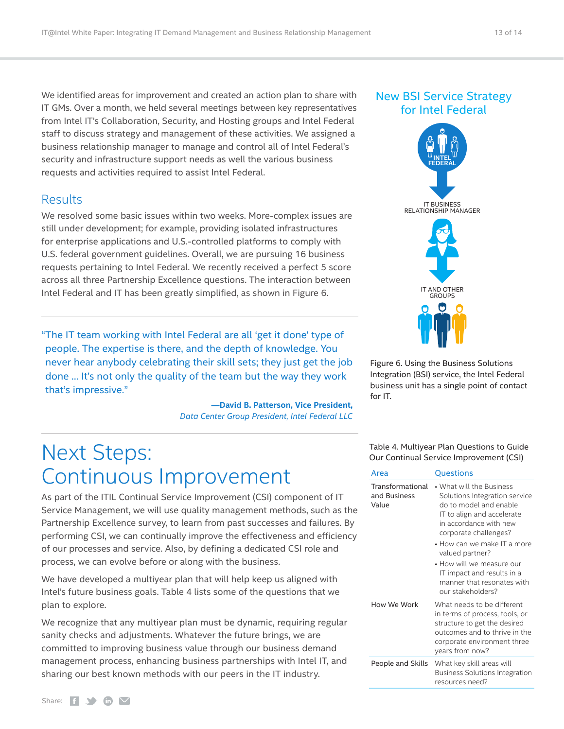<span id="page-12-0"></span>We identified areas for improvement and created an action plan to share with IT GMs. Over a month, we held several meetings between key representatives from Intel IT's Collaboration, Security, and Hosting groups and Intel Federal staff to discuss strategy and management of these activities. We assigned a business relationship manager to manage and control all of Intel Federal's security and infrastructure support needs as well the various business requests and activities required to assist Intel Federal.

### Results

We resolved some basic issues within two weeks. More-complex issues are still under development; for example, providing isolated infrastructures for enterprise applications and U.S.-controlled platforms to comply with U.S. federal government guidelines. Overall, we are pursuing 16 business requests pertaining to Intel Federal. We recently received a perfect 5 score across all three Partnership Excellence questions. The interaction between Intel Federal and IT has been greatly simplified, as shown in Figure 6.

"The IT team working with Intel Federal are all 'get it done' type of people. The expertise is there, and the depth of knowledge. You never hear anybody celebrating their skill sets; they just get the job done … It's not only the quality of the team but the way they work that's impressive."

> **—David B. Patterson, Vice President,** *Data Center Group President, Intel Federal LLC*

# <span id="page-12-1"></span>Next Steps: Continuous Improvement

As part of the ITIL Continual Service Improvement (CSI) component of IT Service Management, we will use quality management methods, such as the Partnership Excellence survey, to learn from past successes and failures. By performing CSI, we can continually improve the effectiveness and efficiency of our processes and service. Also, by defining a dedicated CSI role and process, we can evolve before or along with the business.

We have developed a multiyear plan that will help keep us aligned with Intel's future business goals. Table 4 lists some of the questions that we plan to explore.

We recognize that any multiyear plan must be dynamic, requiring regular sanity checks and adjustments. Whatever the future brings, we are committed to improving business value through our business demand management process, enhancing business partnerships with Intel IT, and sharing our best known methods with our peers in the IT industry.



Figure 6. Using the Business Solutions Integration (BSI) service, the Intel Federal business unit has a single point of contact for IT.

Table 4. Multiyear Plan Questions to Guide Our Continual Service Improvement (CSI)

| Area                                      | Questions                                                                                                                                                                                                                                                                                                                                            |  |
|-------------------------------------------|------------------------------------------------------------------------------------------------------------------------------------------------------------------------------------------------------------------------------------------------------------------------------------------------------------------------------------------------------|--|
| Transformational<br>and Business<br>Value | $\bullet$ What will the Business<br>Solutions Integration service<br>do to model and enable<br>IT to align and accelerate<br>in accordance with new<br>corporate challenges?<br>$\bullet$ How can we make IT a more<br>valued partner?<br>• How will we measure our<br>IT impact and results in a<br>manner that resonates with<br>our stakeholders? |  |
| How We Work                               | What needs to be different<br>in terms of process, tools, or<br>structure to get the desired<br>outcomes and to thrive in the<br>corporate environment three<br>years from now?                                                                                                                                                                      |  |
| People and Skills                         | What key skill areas will<br><b>Business Solutions Integration</b><br>resources need?                                                                                                                                                                                                                                                                |  |